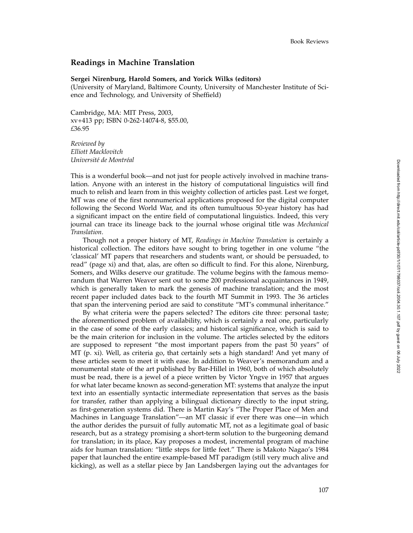## **Readings in Machine Translation**

## **Sergei Nirenburg, Harold Somers, and Yorick Wilks (editors)**

(University of Maryland, Baltimore County, University of Manchester Institute of Science and Technology, and University of Sheffield)

Cambridge, MA: MIT Press, 2003, xv+413 pp; ISBN 0-262-14074-8, \$55.00, *£*36.95

*Reviewed by Elliott Macklovitch Universit´e de Montr´eal*

This is a wonderful book—and not just for people actively involved in machine translation. Anyone with an interest in the history of computational linguistics will find much to relish and learn from in this weighty collection of articles past. Lest we forget, MT was one of the first nonnumerical applications proposed for the digital computer following the Second World War, and its often tumultuous 50-year history has had a significant impact on the entire field of computational linguistics. Indeed, this very journal can trace its lineage back to the journal whose original title was *Mechanical Translation* .

Though not a proper history of MT, *Readings in Machine Translation* is certainly a historical collection. The editors have sought to bring together in one volume "the 'classical' MT papers that researchers and students want, or should be persuaded, to read" (page xi) and that, alas, are often so difficult to find. For this alone, Nirenburg, Somers, and Wilks deserve our gratitude. The volume begins with the famous memorandum that Warren Weaver sent out to some 200 professional acquaintances in 1949, which is generally taken to mark the genesis of machine translation; and the most recent paper included dates back to the fourth MT Summit in 1993. The 36 articles that span the intervening period are said to constitute "MT's communal inheritance."

By what criteria were the papers selected? The editors cite three: personal taste; the aforementioned problem of availability, which is certainly a real one, particularly in the case of some of the early classics; and historical significance, which is said to be the main criterion for inclusion in the volume. The articles selected by the editors are supposed to represent "the most important papers from the past 50 years" of MT (p. xi). Well, as criteria go, that certainly sets a high standard! And yet many of these articles seem to meet it with ease. In addition to Weaver's memorandum and a monumental state of the art published by Bar-Hillel in 1960, both of which absolutely must be read, there is a jewel of a piece written by Victor Yngve in 1957 that argues for what later became known as second-generation MT: systems that analyze the input text into an essentially syntactic intermediate representation that serves as the basis for transfer, rather than applying a bilingual dictionary directly to the input string, as first-generation systems did. There is Martin Kay's "The Proper Place of Men and Machines in Language Translation"—an MT classic if ever there was one—in which the author derides the pursuit of fully automatic MT, not as a legitimate goal of basic research, but as a strategy promising a short-term solution to the burgeoning demand for translation; in its place, Kay proposes a modest, incremental program of machine aids for human translation: "little steps for little feet." There is Makoto Nagao's 1984 paper that launched the entire example-based MT paradigm (still very much alive and kicking), as well as a stellar piece by Jan Landsbergen laying out the advantages for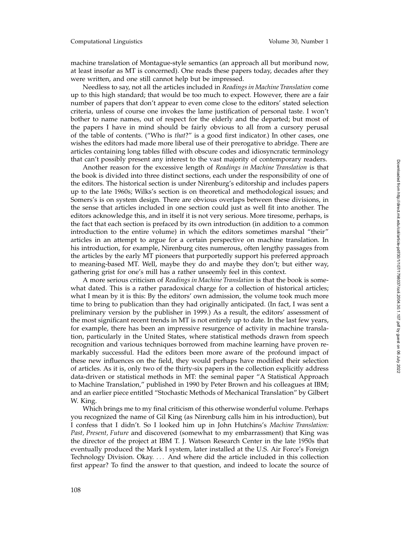machine translation of Montague-style semantics (an approach all but moribund now, at least insofar as MT is concerned). One reads these papers today, decades after they were written, and one still cannot help but be impressed.

Needless to say, not all the articles included in *Readings in Machine Translation* come up to this high standard; that would be too much to expect. However, there are a fair number of papers that don't appear to even come close to the editors' stated selection criteria, unless of course one invokes the lame justification of personal taste. I won't bother to name names, out of respect for the elderly and the departed; but most of the papers I have in mind should be fairly obvious to all from a cursory perusal of the table of contents. ("Who is *that*?" is a good first indicator.) In other cases, one wishes the editors had made more liberal use of their prerogative to abridge. There are articles containing long tables filled with obscure codes and idiosyncratic terminology that can't possibly present any interest to the vast majority of contemporary readers.

Another reason for the excessive length of *Readings in Machine Translation* is that the book is divided into three distinct sections, each under the responsibility of one of the editors. The historical section is under Nirenburg's editorship and includes papers up to the late 1960s; Wilks's section is on theoretical and methodological issues; and Somers's is on system design. There are obvious overlaps between these divisions, in the sense that articles included in one section could just as well fit into another. The editors acknowledge this, and in itself it is not very serious. More tiresome, perhaps, is the fact that each section is prefaced by its own introduction (in addition to a common introduction to the entire volume) in which the editors sometimes marshal "their" articles in an attempt to argue for a certain perspective on machine translation. In his introduction, for example, Nirenburg cites numerous, often lengthy passages from the articles by the early MT pioneers that purportedly support his preferred approach to meaning-based MT. Well, maybe they do and maybe they don't; but either way, gathering grist for one's mill has a rather unseemly feel in this context.

A more serious criticism of *Readings in Machine Translation* is that the book is somewhat dated. This is a rather paradoxical charge for a collection of historical articles; what I mean by it is this: By the editors' own admission, the volume took much more time to bring to publication than they had originally anticipated. (In fact, I was sent a preliminary version by the publisher in 1999.) As a result, the editors' assessment of the most significant recent trends in MT is not entirely up to date. In the last few years, for example, there has been an impressive resurgence of activity in machine translation, particularly in the United States, where statistical methods drawn from speech recognition and various techniques borrowed from machine learning have proven remarkably successful. Had the editors been more aware of the profound impact of these new influences on the field, they would perhaps have modified their selection of articles. As it is, only two of the thirty-six papers in the collection explicitly address data-driven or statistical methods in MT: the seminal paper "A Statistical Approach to Machine Translation," published in 1990 by Peter Brown and his colleagues at IBM; and an earlier piece entitled "Stochastic Methods of Mechanical Translation" by Gilbert W. King.

Which brings me to my final criticism of this otherwise wonderful volume. Perhaps you recognized the name of Gil King (as Nirenburg calls him in his introduction), but I confess that I didn't. So I looked him up in John Hutchins's *Machine Translation: Past, Present, Future* and discovered (somewhat to my embarrassment) that King was the director of the project at IBM T. J. Watson Research Center in the late 1950s that eventually produced the Mark I system, later installed at the U.S. Air Force's Foreign Technology Division. Okay. ... And where did the article included in this collection first appear? To find the answer to that question, and indeed to locate the source of